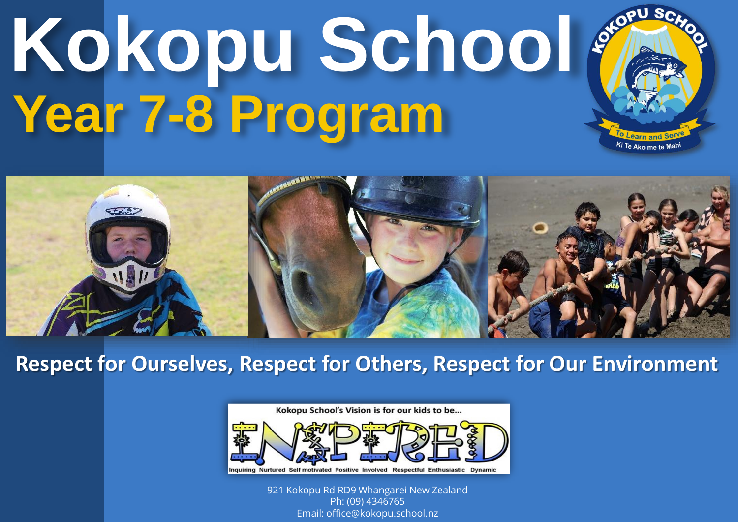## **Kokopu School Year 7-8 Program**



arn and *Ki Te Ako me te Ma<sup>h</sup>* 

**Respect for Ourselves, Respect for Others, Respect for Our Environment**



921 Kokopu Rd RD9 Whangarei New Zealand Ph: (09) 4346765 Email: office@kokopu.school.nz